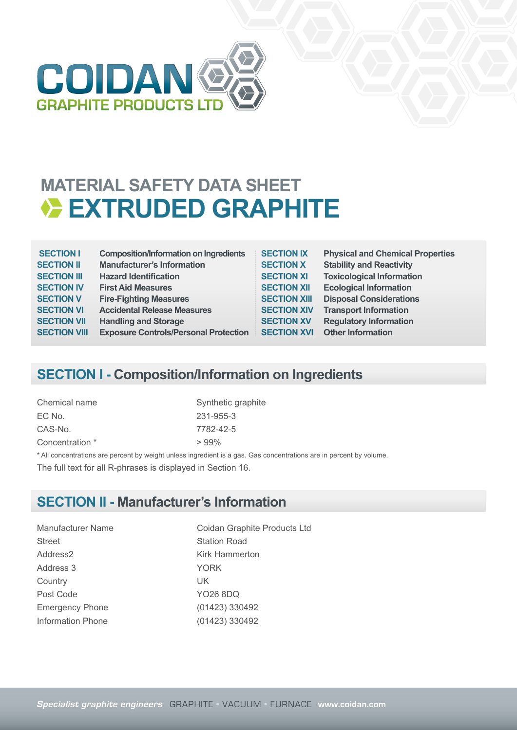

## **MATERIAL SAFETY DATA SHEET EXTRUDED GRAPHITE**

| <b>SECTION I</b>    | <b>Composition/Information on Ingredients</b> | <b>SECTION IX</b>   | <b>Physical and Chemical Properties</b> |
|---------------------|-----------------------------------------------|---------------------|-----------------------------------------|
| <b>SECTION II</b>   | <b>Manufacturer's Information</b>             | <b>SECTION X</b>    | <b>Stability and Reactivity</b>         |
| <b>SECTION III</b>  | <b>Hazard Identification</b>                  | <b>SECTION XI</b>   | <b>Toxicological Information</b>        |
| <b>SECTION IV</b>   | <b>First Aid Measures</b>                     | <b>SECTION XII</b>  | <b>Ecological Information</b>           |
| <b>SECTION V</b>    | <b>Fire-Fighting Measures</b>                 | <b>SECTION XIII</b> | <b>Disposal Considerations</b>          |
| <b>SECTION VI</b>   | <b>Accidental Release Measures</b>            | <b>SECTION XIV</b>  | <b>Transport Information</b>            |
| <b>SECTION VII</b>  | <b>Handling and Storage</b>                   | <b>SECTION XV</b>   | <b>Regulatory Information</b>           |
| <b>SECTION VIII</b> | <b>Exposure Controls/Personal Protection</b>  | <b>SECTION XVI</b>  | <b>Other Information</b>                |

#### **SECTION I - Composition/Information on Ingredients**

| Chemical name   | Synthetic graphite                                                                                                  |
|-----------------|---------------------------------------------------------------------------------------------------------------------|
| EC No.          | 231-955-3                                                                                                           |
| CAS-No.         | 7782-42-5                                                                                                           |
| Concentration * | $>99\%$                                                                                                             |
|                 | * All concentrations are percent by weight unless ingredient is a gas. Gas concentrations are in percent by volume. |
|                 |                                                                                                                     |

The full text for all R-phrases is displayed in Section 16.

#### **SECTION II - Manufacturer's Information**

Street Station Road Address2 Kirk Hammerton Address 3 YORK Country UK Post Code YO26 8DQ Emergency Phone (01423) 330492 Information Phone (01423) 330492

Manufacturer Name Coidan Graphite Products Ltd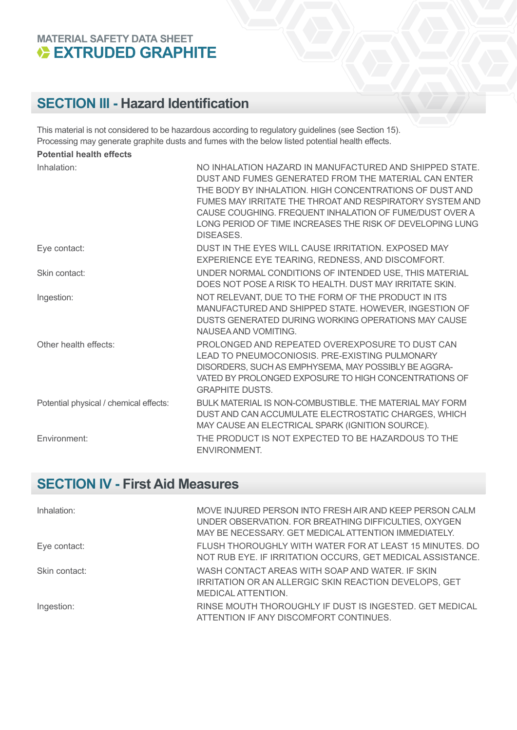#### **MATERIAL SAFETY DATA SHEET EXTRUDED GRAPHITE**

#### **SECTION III - Hazard Identification**

This material is not considered to be hazardous according to regulatory guidelines (see Section 15). Processing may generate graphite dusts and fumes with the below listed potential health effects. **Potential health effects**

| FULGIILIAI HEAILII GHEULS              |                                                                                                                                                                                                                                                                                                                                                                             |
|----------------------------------------|-----------------------------------------------------------------------------------------------------------------------------------------------------------------------------------------------------------------------------------------------------------------------------------------------------------------------------------------------------------------------------|
| Inhalation:                            | NO INHALATION HAZARD IN MANUFACTURED AND SHIPPED STATE.<br>DUST AND FUMES GENERATED FROM THE MATERIAL CAN ENTER<br>THE BODY BY INHALATION. HIGH CONCENTRATIONS OF DUST AND<br>FUMES MAY IRRITATE THE THROAT AND RESPIRATORY SYSTEM AND<br>CAUSE COUGHING. FREQUENT INHALATION OF FUME/DUST OVER A<br>LONG PERIOD OF TIME INCREASES THE RISK OF DEVELOPING LUNG<br>DISEASES. |
| Eye contact:                           | DUST IN THE EYES WILL CAUSE IRRITATION. EXPOSED MAY<br>EXPERIENCE EYE TEARING, REDNESS, AND DISCOMFORT.                                                                                                                                                                                                                                                                     |
| Skin contact:                          | UNDER NORMAL CONDITIONS OF INTENDED USE, THIS MATERIAL<br>DOES NOT POSE A RISK TO HEALTH. DUST MAY IRRITATE SKIN.                                                                                                                                                                                                                                                           |
| Ingestion:                             | NOT RELEVANT, DUE TO THE FORM OF THE PRODUCT IN ITS<br>MANUFACTURED AND SHIPPED STATE. HOWEVER, INGESTION OF<br>DUSTS GENERATED DURING WORKING OPERATIONS MAY CAUSE<br>NAUSEA AND VOMITING.                                                                                                                                                                                 |
| Other health effects:                  | PROLONGED AND REPEATED OVEREXPOSURE TO DUST CAN<br>LEAD TO PNEUMOCONIOSIS. PRE-EXISTING PULMONARY<br>DISORDERS, SUCH AS EMPHYSEMA, MAY POSSIBLY BE AGGRA-<br>VATED BY PROLONGED EXPOSURE TO HIGH CONCENTRATIONS OF<br><b>GRAPHITE DUSTS.</b>                                                                                                                                |
| Potential physical / chemical effects: | BULK MATERIAL IS NON-COMBUSTIBLE. THE MATERIAL MAY FORM<br>DUST AND CAN ACCUMULATE ELECTROSTATIC CHARGES, WHICH<br>MAY CAUSE AN ELECTRICAL SPARK (IGNITION SOURCE).                                                                                                                                                                                                         |
| Environment:                           | THE PRODUCT IS NOT EXPECTED TO BE HAZARDOUS TO THE<br>ENVIRONMENT.                                                                                                                                                                                                                                                                                                          |

#### **SECTION IV - First Aid Measures**

| Inhalation:   | MOVE INJURED PERSON INTO FRESH AIR AND KEEP PERSON CALM<br>UNDER OBSERVATION. FOR BREATHING DIFFICULTIES, OXYGEN<br>MAY BE NECESSARY. GET MEDICAL ATTENTION IMMEDIATELY. |
|---------------|--------------------------------------------------------------------------------------------------------------------------------------------------------------------------|
| Eye contact:  | FLUSH THOROUGHLY WITH WATER FOR AT LEAST 15 MINUTES. DO<br>NOT RUB EYE. IF IRRITATION OCCURS, GET MEDICAL ASSISTANCE.                                                    |
| Skin contact: | WASH CONTACT AREAS WITH SOAP AND WATER. IF SKIN<br>IRRITATION OR AN ALLERGIC SKIN REACTION DEVELOPS, GET<br>MEDICAL ATTENTION.                                           |
| Ingestion:    | RINSE MOUTH THOROUGHLY IF DUST IS INGESTED. GET MEDICAL<br>ATTENTION IF ANY DISCOMFORT CONTINUES.                                                                        |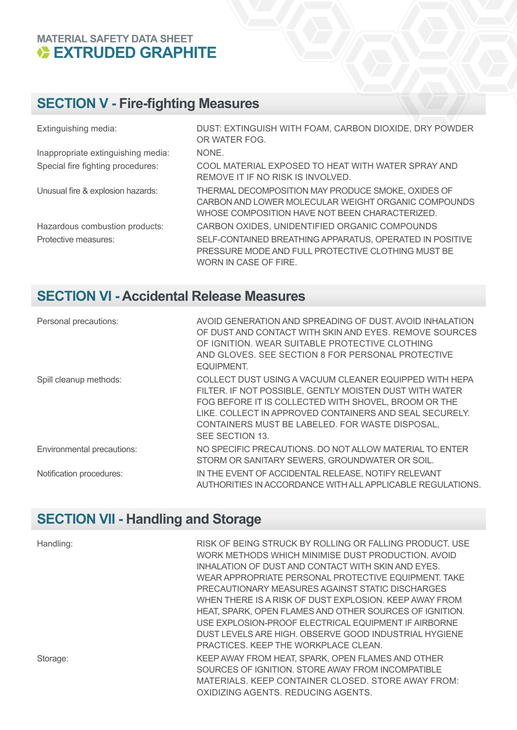# **MATERIAL SAFETY DATA SHEET<br>
EXTRUDED GRAPHITE**

## **SECTION V - Fire-fighting Measures**

| Extinguishing media:               | DUST: EXTINGUISH WITH FOAM, CARBON DIOXIDE, DRY POWDER<br>OR WATER FOG.                                                                                     |
|------------------------------------|-------------------------------------------------------------------------------------------------------------------------------------------------------------|
| Inappropriate extinguishing media: | NONE.                                                                                                                                                       |
| Special fire fighting procedures:  | COOL MATERIAL EXPOSED TO HEAT WITH WATER SPRAY AND<br>REMOVE IT IF NO RISK IS INVOLVED.                                                                     |
| Unusual fire & explosion hazards:  | THERMAL DECOMPOSITION MAY PRODUCE SMOKE, OXIDES OF<br>CARBON AND LOWER MOLECULAR WEIGHT ORGANIC COMPOUNDS<br>WHOSE COMPOSITION HAVE NOT BEEN CHARACTERIZED. |
| Hazardous combustion products:     | CARBON OXIDES, UNIDENTIFIED ORGANIC COMPOUNDS                                                                                                               |
| Protective measures:               | SELF-CONTAINED BREATHING APPARATUS, OPERATED IN POSITIVE<br>PRESSURE MODE AND FULL PROTECTIVE CLOTHING MUST BE<br>WORN IN CASE OF FIRE.                     |

### **SECTION VI - Accidental Release Measures**

| Personal precautions:      | AVOID GENERATION AND SPREADING OF DUST. AVOID INHALATION<br>OF DUST AND CONTACT WITH SKIN AND EYES. REMOVE SOURCES<br>OF IGNITION, WEAR SUITABLE PROTECTIVE CLOTHING<br>AND GLOVES. SEE SECTION 8 FOR PERSONAL PROTECTIVE<br>EQUIPMENT.                                                                    |
|----------------------------|------------------------------------------------------------------------------------------------------------------------------------------------------------------------------------------------------------------------------------------------------------------------------------------------------------|
| Spill cleanup methods:     | COLLECT DUST USING A VACUUM CLEANER EQUIPPED WITH HEPA<br>FILTER. IF NOT POSSIBLE, GENTLY MOISTEN DUST WITH WATER<br>FOG BEFORE IT IS COLLECTED WITH SHOVEL, BROOM OR THE<br>LIKE. COLLECT IN APPROVED CONTAINERS AND SEAL SECURELY.<br>CONTAINERS MUST BE LABELED. FOR WASTE DISPOSAL,<br>SEE SECTION 13. |
| Environmental precautions: | NO SPECIFIC PRECAUTIONS. DO NOT ALLOW MATERIAL TO ENTER<br>STORM OR SANITARY SEWERS, GROUNDWATER OR SOIL.                                                                                                                                                                                                  |
| Notification procedures:   | IN THE EVENT OF ACCIDENTAL RELEASE, NOTIFY RELEVANT<br>AUTHORITIES IN ACCORDANCE WITH ALL APPLICABLE REGULATIONS.                                                                                                                                                                                          |

### **SECTION VII - Handling and Storage**

| Handling: | RISK OF BEING STRUCK BY ROLLING OR FALLING PRODUCT. USE<br>WORK METHODS WHICH MINIMISE DUST PRODUCTION. AVOID<br>INHALATION OF DUST AND CONTACT WITH SKIN AND EYES.<br>WEAR APPROPRIATE PERSONAL PROTECTIVE EQUIPMENT. TAKE<br>PRECAUTIONARY MEASURES AGAINST STATIC DISCHARGES<br>WHEN THERE IS A RISK OF DUST EXPLOSION. KEEP AWAY FROM<br>HEAT, SPARK, OPEN FLAMES AND OTHER SOURCES OF IGNITION.<br>USE EXPLOSION-PROOF ELECTRICAL EQUIPMENT IF AIRBORNE<br>DUST LEVELS ARE HIGH, OBSERVE GOOD INDUSTRIAL HYGIENE<br>PRACTICES. KEEP THE WORKPLACE CLEAN. |
|-----------|---------------------------------------------------------------------------------------------------------------------------------------------------------------------------------------------------------------------------------------------------------------------------------------------------------------------------------------------------------------------------------------------------------------------------------------------------------------------------------------------------------------------------------------------------------------|
| Storage:  | KEEP AWAY FROM HEAT, SPARK, OPEN FLAMES AND OTHER<br>SOURCES OF IGNITION. STORE AWAY FROM INCOMPATIBLE<br>MATERIALS, KEEP CONTAINER CLOSED, STORE AWAY FROM:<br>OXIDIZING AGENTS, REDUCING AGENTS.                                                                                                                                                                                                                                                                                                                                                            |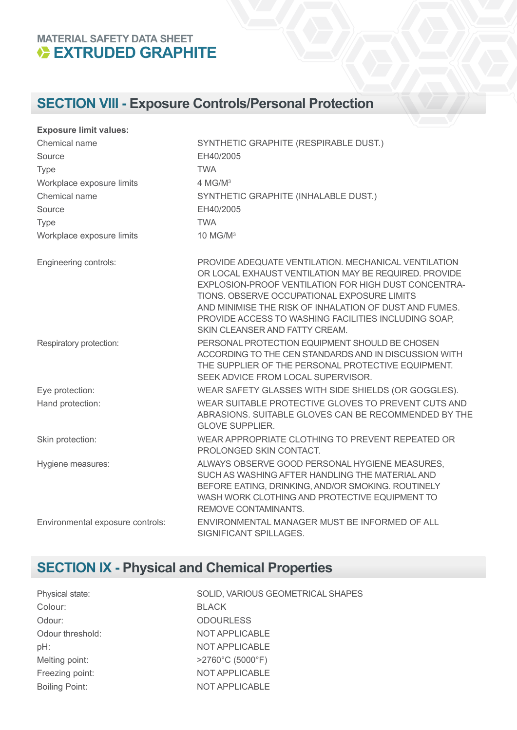#### **MATERIAL SAFETY DATA SHEET EXTRUDED GRAPHITE**

## **SECTION VIII - Exposure Controls/Personal Protection**

| <b>Exposure limit values:</b>    |                                                                                                                                                                                                                                                                                                                                                                          |
|----------------------------------|--------------------------------------------------------------------------------------------------------------------------------------------------------------------------------------------------------------------------------------------------------------------------------------------------------------------------------------------------------------------------|
| Chemical name                    | SYNTHETIC GRAPHITE (RESPIRABLE DUST.)                                                                                                                                                                                                                                                                                                                                    |
| Source                           | EH40/2005                                                                                                                                                                                                                                                                                                                                                                |
| <b>Type</b>                      | <b>TWA</b>                                                                                                                                                                                                                                                                                                                                                               |
| Workplace exposure limits        | 4 MG/M <sup>3</sup>                                                                                                                                                                                                                                                                                                                                                      |
| Chemical name                    | SYNTHETIC GRAPHITE (INHALABLE DUST.)                                                                                                                                                                                                                                                                                                                                     |
| Source                           | EH40/2005                                                                                                                                                                                                                                                                                                                                                                |
| Type                             | <b>TWA</b>                                                                                                                                                                                                                                                                                                                                                               |
| Workplace exposure limits        | 10 MG/M <sup>3</sup>                                                                                                                                                                                                                                                                                                                                                     |
| Engineering controls:            | PROVIDE ADEQUATE VENTILATION. MECHANICAL VENTILATION<br>OR LOCAL EXHAUST VENTILATION MAY BE REQUIRED. PROVIDE<br>EXPLOSION-PROOF VENTILATION FOR HIGH DUST CONCENTRA-<br>TIONS. OBSERVE OCCUPATIONAL EXPOSURE LIMITS<br>AND MINIMISE THE RISK OF INHALATION OF DUST AND FUMES.<br>PROVIDE ACCESS TO WASHING FACILITIES INCLUDING SOAP,<br>SKIN CLEANSER AND FATTY CREAM. |
| Respiratory protection:          | PERSONAL PROTECTION EQUIPMENT SHOULD BE CHOSEN<br>ACCORDING TO THE CEN STANDARDS AND IN DISCUSSION WITH<br>THE SUPPLIER OF THE PERSONAL PROTECTIVE EQUIPMENT.<br>SEEK ADVICE FROM LOCAL SUPERVISOR.                                                                                                                                                                      |
| Eye protection:                  | WEAR SAFETY GLASSES WITH SIDE SHIELDS (OR GOGGLES).                                                                                                                                                                                                                                                                                                                      |
| Hand protection:                 | WEAR SUITABLE PROTECTIVE GLOVES TO PREVENT CUTS AND<br>ABRASIONS. SUITABLE GLOVES CAN BE RECOMMENDED BY THE<br><b>GLOVE SUPPLIER.</b>                                                                                                                                                                                                                                    |
| Skin protection:                 | WEAR APPROPRIATE CLOTHING TO PREVENT REPEATED OR<br>PROLONGED SKIN CONTACT.                                                                                                                                                                                                                                                                                              |
| Hygiene measures:                | ALWAYS OBSERVE GOOD PERSONAL HYGIENE MEASURES,<br>SUCH AS WASHING AFTER HANDLING THE MATERIAL AND<br>BEFORE EATING, DRINKING, AND/OR SMOKING. ROUTINELY<br>WASH WORK CLOTHING AND PROTECTIVE EQUIPMENT TO<br>REMOVE CONTAMINANTS.                                                                                                                                        |
| Environmental exposure controls: | ENVIRONMENTAL MANAGER MUST BE INFORMED OF ALL<br>SIGNIFICANT SPILLAGES.                                                                                                                                                                                                                                                                                                  |

## **SECTION IX - Physical and Chemical Properties**

| Physical state:       | SOLID, VARIOUS GEOMETRICAL SHAPES     |
|-----------------------|---------------------------------------|
| Colour:               | <b>BLACK</b>                          |
| Odour:                | <b>ODOURLESS</b>                      |
| Odour threshold:      | NOT APPLICABLE                        |
| pH:                   | NOT APPLICABLE                        |
| Melting point:        | $>2760^{\circ}$ C (5000 $^{\circ}$ F) |
| Freezing point:       | NOT APPLICABLE                        |
| <b>Boiling Point:</b> | NOT APPLICABLE                        |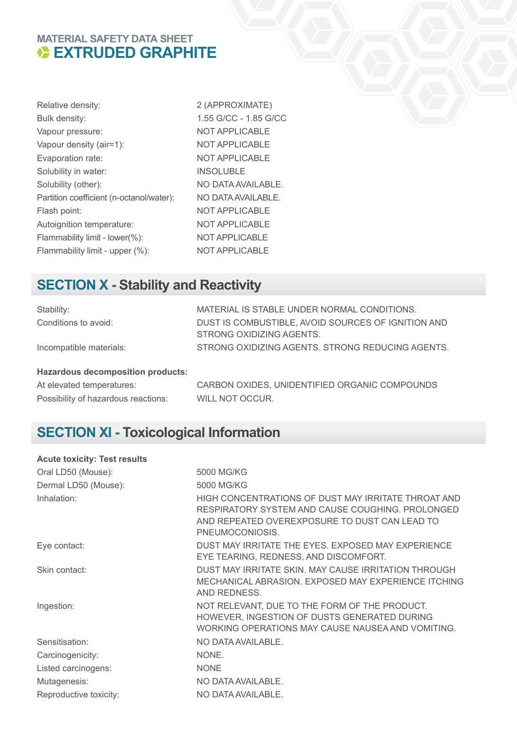## **MATERIAL SAFETY DATA SHEET<br>
EXTRUDED GRAPHITE**

| Relative density:                        | 2(             |
|------------------------------------------|----------------|
| Bulk density:                            | 1.5            |
| Vapour pressure:                         | NC             |
| Vapour density (air=1):                  | NC             |
| Evaporation rate:                        | N <sub>C</sub> |
| Solubility in water:                     | IN:            |
| Solubility (other):                      | N <sub>C</sub> |
| Partition coefficient (n-octanol/water): | NC             |
| Flash point:                             | N <sub>C</sub> |
| Autoignition temperature:                | NC             |
| Flammability limit - lower(%):           | N <sub>C</sub> |
| Flammability limit - upper (%):          | NC             |

(APPROXIMATE) 55 G/CC - 1.85 G/CC OT APPLICABLE OT APPLICABLE OT APPLICABLE SOLUBLE O DATA AVAILABLE. **PATA AVAILABLE.** OT APPLICABLE OT APPLICABLE OT APPLICABLE OT APPLICABLE

#### **SECTION X - Stability and Reactivity**

| Stability:              | MATERIAL IS STABLE UNDER NORMAL CONDITIONS.        |
|-------------------------|----------------------------------------------------|
| Conditions to avoid:    | DUST IS COMBUSTIBLE, AVOID SOURCES OF IGNITION AND |
|                         | STRONG OXIDIZING AGENTS.                           |
| Incompatible materials: | STRONG OXIDIZING AGENTS. STRONG REDUCING AGENTS.   |

#### **Hazardous decomposition products:**

Possibility of hazardous reactions: WILL NOT OCCUR.

At elevated temperatures: CARBON OXIDES, UNIDENTIFIED ORGANIC COMPOUNDS

## **SECTION XI - Toxicological Information**

| <b>Acute toxicity: Test results</b> |                                                                                                                                                                             |
|-------------------------------------|-----------------------------------------------------------------------------------------------------------------------------------------------------------------------------|
| Oral LD50 (Mouse):                  | 5000 MG/KG                                                                                                                                                                  |
| Dermal LD50 (Mouse):                | 5000 MG/KG                                                                                                                                                                  |
| Inhalation:                         | HIGH CONCENTRATIONS OF DUST MAY IRRITATE THROAT AND<br>RESPIRATORY SYSTEM AND CAUSE COUGHING, PROLONGED<br>AND REPEATED OVEREXPOSURE TO DUST CAN LEAD TO<br>PNEUMOCONIOSIS. |
| Eye contact:                        | DUST MAY IRRITATE THE EYES. EXPOSED MAY EXPERIENCE<br>EYE TEARING, REDNESS, AND DISCOMFORT.                                                                                 |
| Skin contact:                       | DUST MAY IRRITATE SKIN, MAY CAUSE IRRITATION THROUGH<br>MECHANICAL ABRASION. EXPOSED MAY EXPERIENCE ITCHING<br>AND REDNESS.                                                 |
| Ingestion:                          | NOT RELEVANT, DUE TO THE FORM OF THE PRODUCT.<br>HOWEVER, INGESTION OF DUSTS GENERATED DURING<br>WORKING OPERATIONS MAY CAUSE NAUSEA AND VOMITING.                          |
| Sensitisation:                      | NO DATA AVAILABLE.                                                                                                                                                          |
| Carcinogenicity:                    | NONE.                                                                                                                                                                       |
| Listed carcinogens:                 | <b>NONE</b>                                                                                                                                                                 |
| Mutagenesis:                        | NO DATA AVAILABLE.                                                                                                                                                          |
| Reproductive toxicity:              | NO DATA AVAILABLE.                                                                                                                                                          |
|                                     |                                                                                                                                                                             |